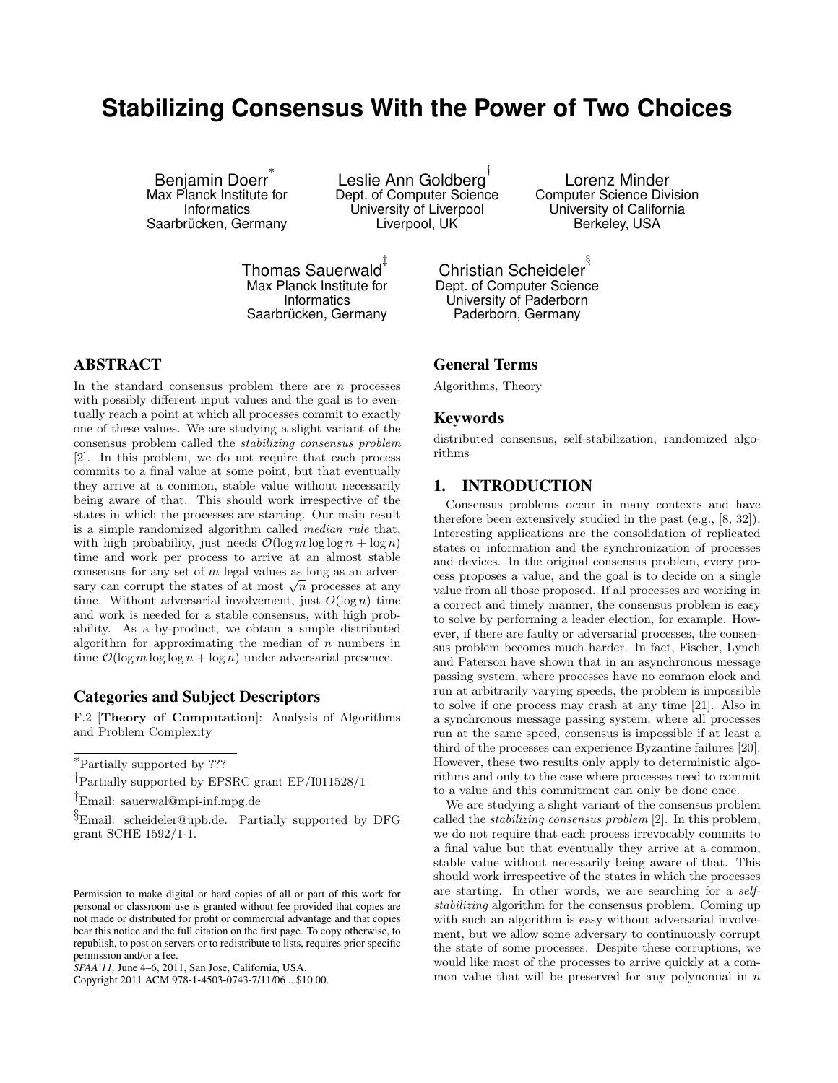# **Stabilizing Consensus With the Power of Two Choices**

Benjamin Doerr ∗ Max Planck Institute for **Informatics** Saarbrücken, Germany

Leslie Ann Goldberg $^\dagger$ Dept. of Computer Science University of Liverpool Liverpool, UK

Lorenz Minder Computer Science Division University of California Berkeley, USA

Thomas Sauerwald ‡ Max Planck Institute for **Informatics** Saarbrücken, Germany

Christian Scheideler $^{\S}$ Dept. of Computer Science University of Paderborn Paderborn, Germany

# ABSTRACT

In the standard consensus problem there are  $n$  processes with possibly different input values and the goal is to eventually reach a point at which all processes commit to exactly one of these values. We are studying a slight variant of the consensus problem called the stabilizing consensus problem [2]. In this problem, we do not require that each process commits to a final value at some point, but that eventually they arrive at a common, stable value without necessarily being aware of that. This should work irrespective of the states in which the processes are starting. Our main result is a simple randomized algorithm called median rule that, with high probability, just needs  $\mathcal{O}(\log m \log \log n + \log n)$ time and work per process to arrive at an almost stable consensus for any set of m legal values as long as an adverconsensus for any set of m legal values as long as an adversary can corrupt the states of at most  $\sqrt{n}$  processes at any time. Without adversarial involvement, just  $O(\log n)$  time and work is needed for a stable consensus, with high probability. As a by-product, we obtain a simple distributed algorithm for approximating the median of  $n$  numbers in time  $\mathcal{O}(\log m \log \log n + \log n)$  under adversarial presence.

# Categories and Subject Descriptors

F.2 [Theory of Computation]: Analysis of Algorithms and Problem Complexity

<sup>∗</sup>Partially supported by ???

‡Email: sauerwal@mpi-inf.mpg.de

<sup>§</sup>Email: scheideler@upb.de. Partially supported by DFG grant SCHE 1592/1-1.

Copyright 2011 ACM 978-1-4503-0743-7/11/06 ...\$10.00.

# General Terms

Algorithms, Theory

## Keywords

distributed consensus, self-stabilization, randomized algorithms

# 1. INTRODUCTION

Consensus problems occur in many contexts and have therefore been extensively studied in the past (e.g., [8, 32]). Interesting applications are the consolidation of replicated states or information and the synchronization of processes and devices. In the original consensus problem, every process proposes a value, and the goal is to decide on a single value from all those proposed. If all processes are working in a correct and timely manner, the consensus problem is easy to solve by performing a leader election, for example. However, if there are faulty or adversarial processes, the consensus problem becomes much harder. In fact, Fischer, Lynch and Paterson have shown that in an asynchronous message passing system, where processes have no common clock and run at arbitrarily varying speeds, the problem is impossible to solve if one process may crash at any time [21]. Also in a synchronous message passing system, where all processes run at the same speed, consensus is impossible if at least a third of the processes can experience Byzantine failures [20]. However, these two results only apply to deterministic algorithms and only to the case where processes need to commit to a value and this commitment can only be done once.

We are studying a slight variant of the consensus problem called the stabilizing consensus problem [2]. In this problem, we do not require that each process irrevocably commits to a final value but that eventually they arrive at a common, stable value without necessarily being aware of that. This should work irrespective of the states in which the processes are starting. In other words, we are searching for a selfstabilizing algorithm for the consensus problem. Coming up with such an algorithm is easy without adversarial involvement, but we allow some adversary to continuously corrupt the state of some processes. Despite these corruptions, we would like most of the processes to arrive quickly at a common value that will be preserved for any polynomial in  $n$ 

<sup>†</sup>Partially supported by EPSRC grant EP/I011528/1

Permission to make digital or hard copies of all or part of this work for personal or classroom use is granted without fee provided that copies are not made or distributed for profit or commercial advantage and that copies bear this notice and the full citation on the first page. To copy otherwise, to republish, to post on servers or to redistribute to lists, requires prior specific permission and/or a fee.

*SPAA'11,* June 4–6, 2011, San Jose, California, USA.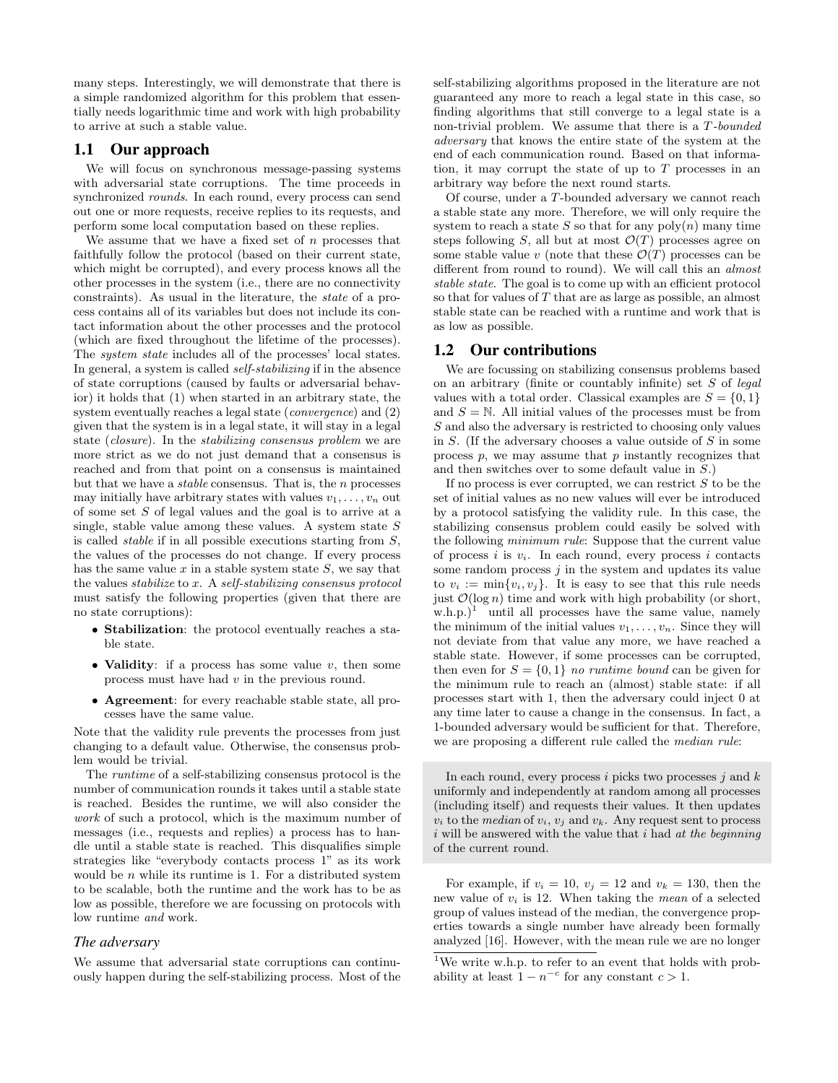many steps. Interestingly, we will demonstrate that there is a simple randomized algorithm for this problem that essentially needs logarithmic time and work with high probability to arrive at such a stable value.

# 1.1 Our approach

We will focus on synchronous message-passing systems with adversarial state corruptions. The time proceeds in synchronized *rounds*. In each round, every process can send out one or more requests, receive replies to its requests, and perform some local computation based on these replies.

We assume that we have a fixed set of  $n$  processes that faithfully follow the protocol (based on their current state, which might be corrupted), and every process knows all the other processes in the system (i.e., there are no connectivity constraints). As usual in the literature, the state of a process contains all of its variables but does not include its contact information about the other processes and the protocol (which are fixed throughout the lifetime of the processes). The system state includes all of the processes' local states. In general, a system is called self-stabilizing if in the absence of state corruptions (caused by faults or adversarial behavior) it holds that (1) when started in an arbitrary state, the system eventually reaches a legal state (*convergence*) and (2) given that the system is in a legal state, it will stay in a legal state (closure). In the stabilizing consensus problem we are more strict as we do not just demand that a consensus is reached and from that point on a consensus is maintained but that we have a stable consensus. That is, the n processes may initially have arbitrary states with values  $v_1, \ldots, v_n$  out of some set S of legal values and the goal is to arrive at a single, stable value among these values. A system state  $S$ is called *stable* if in all possible executions starting from  $S$ , the values of the processes do not change. If every process has the same value  $x$  in a stable system state  $S$ , we say that the values stabilize to  $x$ . A self-stabilizing consensus protocol must satisfy the following properties (given that there are no state corruptions):

- Stabilization: the protocol eventually reaches a stable state.
- Validity: if a process has some value  $v$ , then some process must have had v in the previous round.
- Agreement: for every reachable stable state, all processes have the same value.

Note that the validity rule prevents the processes from just changing to a default value. Otherwise, the consensus problem would be trivial.

The runtime of a self-stabilizing consensus protocol is the number of communication rounds it takes until a stable state is reached. Besides the runtime, we will also consider the work of such a protocol, which is the maximum number of messages (i.e., requests and replies) a process has to handle until a stable state is reached. This disqualifies simple strategies like "everybody contacts process 1" as its work would be  $n$  while its runtime is 1. For a distributed system to be scalable, both the runtime and the work has to be as low as possible, therefore we are focussing on protocols with low runtime and work.

### *The adversary*

We assume that adversarial state corruptions can continuously happen during the self-stabilizing process. Most of the self-stabilizing algorithms proposed in the literature are not guaranteed any more to reach a legal state in this case, so finding algorithms that still converge to a legal state is a non-trivial problem. We assume that there is a T-bounded adversary that knows the entire state of the system at the end of each communication round. Based on that information, it may corrupt the state of up to T processes in an arbitrary way before the next round starts.

Of course, under a T-bounded adversary we cannot reach a stable state any more. Therefore, we will only require the system to reach a state S so that for any  $\text{poly}(n)$  many time steps following S, all but at most  $\mathcal{O}(T)$  processes agree on some stable value v (note that these  $\mathcal{O}(T)$  processes can be different from round to round). We will call this an almost stable state. The goal is to come up with an efficient protocol so that for values of T that are as large as possible, an almost stable state can be reached with a runtime and work that is as low as possible.

### 1.2 Our contributions

We are focussing on stabilizing consensus problems based on an arbitrary (finite or countably infinite) set  $S$  of legal values with a total order. Classical examples are  $S = \{0, 1\}$ and  $S = N$ . All initial values of the processes must be from S and also the adversary is restricted to choosing only values in S. (If the adversary chooses a value outside of S in some process  $p$ , we may assume that  $p$  instantly recognizes that and then switches over to some default value in S.)

If no process is ever corrupted, we can restrict  $S$  to be the set of initial values as no new values will ever be introduced by a protocol satisfying the validity rule. In this case, the stabilizing consensus problem could easily be solved with the following minimum rule: Suppose that the current value of process i is  $v_i$ . In each round, every process i contacts some random process  $j$  in the system and updates its value to  $v_i := \min\{v_i, v_j\}$ . It is easy to see that this rule needs just  $\mathcal{O}(\log n)$  time and work with high probability (or short, w.h.p.)<sup>1</sup> until all processes have the same value, namely the minimum of the initial values  $v_1, \ldots, v_n$ . Since they will not deviate from that value any more, we have reached a stable state. However, if some processes can be corrupted, then even for  $S = \{0, 1\}$  no runtime bound can be given for the minimum rule to reach an (almost) stable state: if all processes start with 1, then the adversary could inject 0 at any time later to cause a change in the consensus. In fact, a 1-bounded adversary would be sufficient for that. Therefore, we are proposing a different rule called the median rule:

In each round, every process i picks two processes  $i$  and  $k$ uniformly and independently at random among all processes (including itself) and requests their values. It then updates  $v_i$  to the median of  $v_i$ ,  $v_j$  and  $v_k$ . Any request sent to process  $i$  will be answered with the value that  $i$  had at the beginning of the current round.

For example, if  $v_i = 10$ ,  $v_j = 12$  and  $v_k = 130$ , then the new value of  $v_i$  is 12. When taking the *mean* of a selected group of values instead of the median, the convergence properties towards a single number have already been formally analyzed [16]. However, with the mean rule we are no longer

 $^{1}\mathrm{We}$  write w.h.p. to refer to an event that holds with probability at least  $1 - n^{-c}$  for any constant  $c > 1$ .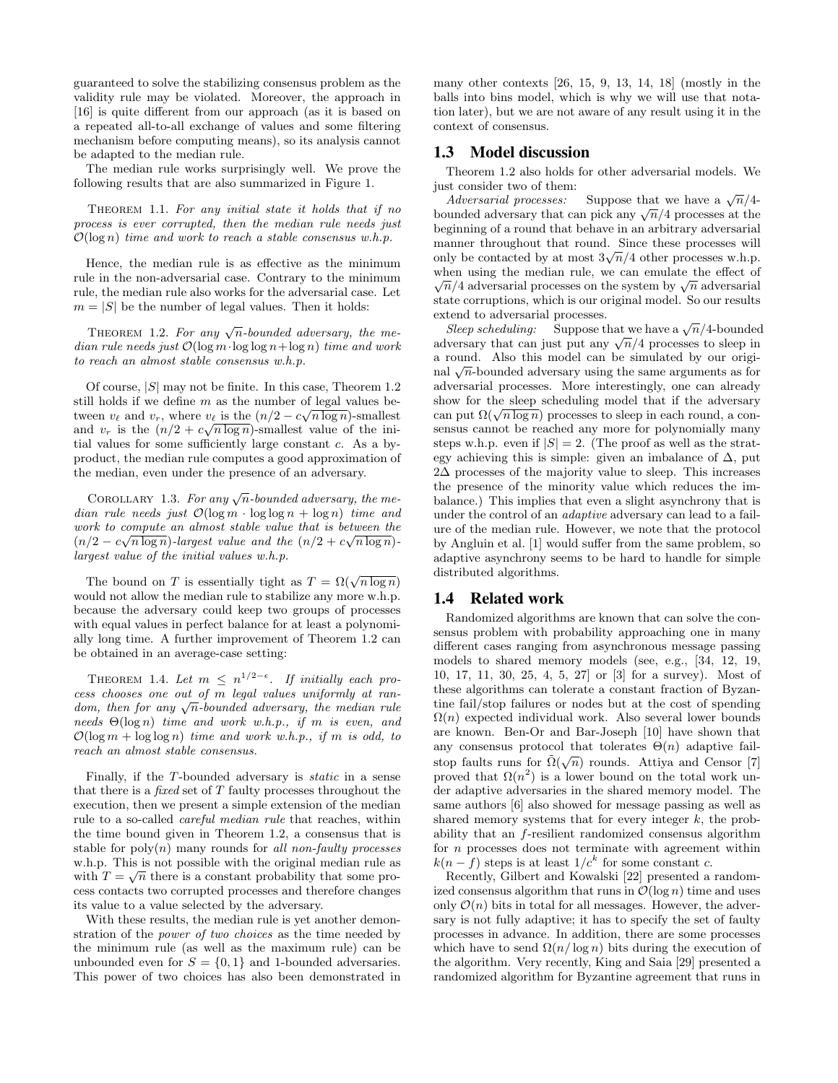guaranteed to solve the stabilizing consensus problem as the validity rule may be violated. Moreover, the approach in [16] is quite different from our approach (as it is based on a repeated all-to-all exchange of values and some filtering mechanism before computing means), so its analysis cannot be adapted to the median rule.

The median rule works surprisingly well. We prove the following results that are also summarized in Figure 1.

THEOREM 1.1. For any initial state it holds that if no process is ever corrupted, then the median rule needs just  $\mathcal{O}(\log n)$  time and work to reach a stable consensus w.h.p.

Hence, the median rule is as effective as the minimum rule in the non-adversarial case. Contrary to the minimum rule, the median rule also works for the adversarial case. Let  $m = |S|$  be the number of legal values. Then it holds:

THEOREM 1.2. For any  $\sqrt{n}$ -bounded adversary, the median rule needs just  $\mathcal{O}(\log m \cdot \log \log n + \log n)$  time and work to reach an almost stable consensus w.h.p.

Of course,  $|S|$  may not be finite. In this case, Theorem 1.2 still holds if we define m as the number of legal values between  $v_{\ell}$  and  $v_r$ , where  $v_{\ell}$  is the  $(n/2 - c\sqrt{n \log n})$ -smallest and  $v_r$  is the  $(n/2 + c\sqrt{n \log n})$ -smallest value of the initial values for some sufficiently large constant  $c$ . As a byproduct, the median rule computes a good approximation of the median, even under the presence of an adversary.

COROLLARY 1.3. For any  $\sqrt{n}$ -bounded adversary, the median rule needs just  $\mathcal{O}(\log m \cdot \log \log n + \log n)$  time and work to compute an almost stable value that is between the  $(n/2 - c\sqrt{n \log n})$ -largest value and the  $(n/2 + c\sqrt{n \log n})$ largest value of the initial values w.h.p.

The bound on T is essentially tight as  $T = \Omega(\sqrt{n \log n})$ would not allow the median rule to stabilize any more w.h.p. because the adversary could keep two groups of processes with equal values in perfect balance for at least a polynomially long time. A further improvement of Theorem 1.2 can be obtained in an average-case setting:

THEOREM 1.4. Let  $m \leq n^{1/2-\epsilon}$ . If initially each process chooses one out of m legal values uniformly at rancess chooses one out of  $m$  tegat values uniformity at random, then for any  $\sqrt{n}$ -bounded adversary, the median rule needs  $\Theta(\log n)$  time and work w.h.p., if m is even, and  $\mathcal{O}(\log m + \log \log n)$  time and work w.h.p., if m is odd, to reach an almost stable consensus.

Finally, if the T-bounded adversary is static in a sense that there is a *fixed* set of  $T$  faulty processes throughout the execution, then we present a simple extension of the median rule to a so-called careful median rule that reaches, within the time bound given in Theorem 1.2, a consensus that is stable for  $poly(n)$  many rounds for all non-faulty processes w.h.p. This is not possible with the original median rule as with  $T = \sqrt{n}$  there is a constant probability that some process contacts two corrupted processes and therefore changes its value to a value selected by the adversary.

With these results, the median rule is yet another demonstration of the power of two choices as the time needed by the minimum rule (as well as the maximum rule) can be unbounded even for  $S = \{0, 1\}$  and 1-bounded adversaries. This power of two choices has also been demonstrated in many other contexts [26, 15, 9, 13, 14, 18] (mostly in the balls into bins model, which is why we will use that notation later), but we are not aware of any result using it in the context of consensus.

# 1.3 Model discussion

Theorem 1.2 also holds for other adversarial models. We just consider two of them:

st consider two of them:<br>Adversarial processes: Suppose that we have a  $\sqrt{n}/4$ -Adversarial processes: suppose that we have a  $\sqrt{n}/4$ -bounded adversary that can pick any  $\sqrt{n}/4$  processes at the beginning of a round that behave in an arbitrary adversarial manner throughout that round. Since these processes will manner unoughout that round. Since these processes will<br>only be contacted by at most  $3\sqrt{n}/4$  other processes w.h.p. when using the median rule, we can emulate the effect of nen using the median rule, we can emulate the effect of  $\overline{n}/4$  adversarial processes on the system by  $\sqrt{n}$  adversarial state corruptions, which is our original model. So our results extend to adversarial processes.

tend to adversarial processes.<br>Sleep scheduling: Suppose that we have a  $\sqrt{n}/4$ -bounded steep scheauung: suppose that we have a  $\sqrt{n}/4$ -pounded adversary that can just put any  $\sqrt{n}/4$  processes to sleep in a round. Also this model can be simulated by our origia round. Also this model can be simulated by our original  $\sqrt{n}$ -bounded adversary using the same arguments as for adversarial processes. More interestingly, one can already show for the sleep scheduling model that if the adversary show for the sleep scheduling model that if the adversary can put  $\Omega(\sqrt{n \log n})$  processes to sleep in each round, a consensus cannot be reached any more for polynomially many steps w.h.p. even if  $|S| = 2$ . (The proof as well as the strategy achieving this is simple: given an imbalance of  $\Delta$ , put 2∆ processes of the majority value to sleep. This increases the presence of the minority value which reduces the imbalance.) This implies that even a slight asynchrony that is under the control of an adaptive adversary can lead to a failure of the median rule. However, we note that the protocol by Angluin et al. [1] would suffer from the same problem, so adaptive asynchrony seems to be hard to handle for simple distributed algorithms.

# 1.4 Related work

Randomized algorithms are known that can solve the consensus problem with probability approaching one in many different cases ranging from asynchronous message passing models to shared memory models (see, e.g., [34, 12, 19, 10, 17, 11, 30, 25, 4, 5, 27] or [3] for a survey). Most of these algorithms can tolerate a constant fraction of Byzantine fail/stop failures or nodes but at the cost of spending  $\Omega(n)$  expected individual work. Also several lower bounds are known. Ben-Or and Bar-Joseph [10] have shown that any consensus protocol that tolerates  $\Theta(n)$  adaptive failstop faults runs for  $\tilde{\Omega}(\sqrt{n})$  rounds. Attiya and Censor [7] proved that  $\Omega(n^2)$  is a lower bound on the total work under adaptive adversaries in the shared memory model. The same authors [6] also showed for message passing as well as shared memory systems that for every integer  $k$ , the probability that an f-resilient randomized consensus algorithm for n processes does not terminate with agreement within  $k(n-f)$  steps is at least  $1/c<sup>k</sup>$  for some constant c.

Recently, Gilbert and Kowalski [22] presented a randomized consensus algorithm that runs in  $\mathcal{O}(\log n)$  time and uses only  $\mathcal{O}(n)$  bits in total for all messages. However, the adversary is not fully adaptive; it has to specify the set of faulty processes in advance. In addition, there are some processes which have to send  $\Omega(n/\log n)$  bits during the execution of the algorithm. Very recently, King and Saia [29] presented a randomized algorithm for Byzantine agreement that runs in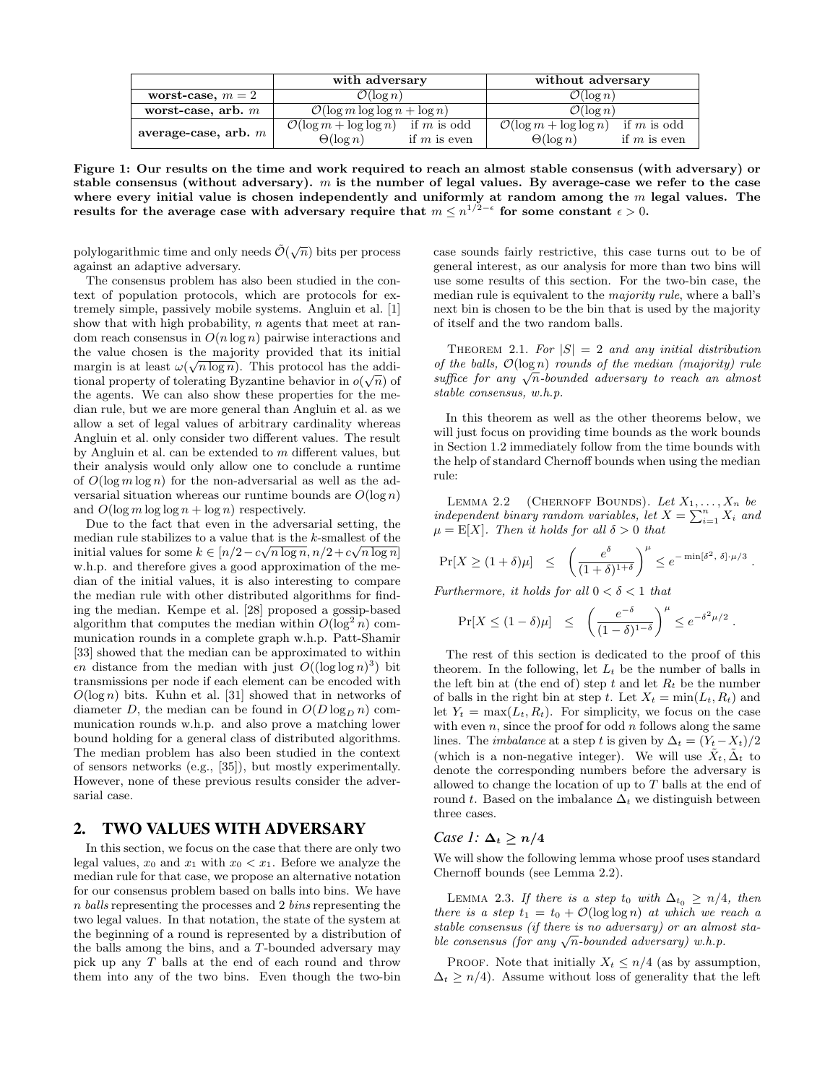|                        | with adversary                                       | without adversary                                    |
|------------------------|------------------------------------------------------|------------------------------------------------------|
| worst-case, $m=2$      | $\mathcal{O}(\log n)$                                | $\mathcal{O}(\log n)$                                |
| worst-case, arb. $m$   | $\mathcal{O}(\log m \log \log n + \log n)$           | $\mathcal{O}(\log n)$                                |
| average-case, arb. $m$ | $\mathcal{O}(\log m + \log \log n)$<br>if $m$ is odd | if $m$ is odd<br>$\mathcal{O}(\log m + \log \log n)$ |
|                        | $\Theta(\log n)$<br>if $m$ is even                   | $\Theta(\log n)$<br>if $m$ is even                   |

Figure 1: Our results on the time and work required to reach an almost stable consensus (with adversary) or stable consensus (without adversary).  $m$  is the number of legal values. By average-case we refer to the case where every initial value is chosen independently and uniformly at random among the  $m$  legal values. The results for the average case with adversary require that  $m \leq n^{1/2-\epsilon}$  for some constant  $\epsilon > 0$ .

polylogarithmic time and only needs  $\tilde{\mathcal{O}}(\sqrt{n})$  bits per process against an adaptive adversary.

The consensus problem has also been studied in the context of population protocols, which are protocols for extremely simple, passively mobile systems. Angluin et al. [1] show that with high probability, n agents that meet at random reach consensus in  $O(n \log n)$  pairwise interactions and the value chosen is the majority provided that its initial margin is at least  $\omega(\sqrt{n \log n})$ . This protocol has the additional property of tolerating Byzantine behavior in  $o(\sqrt{n})$  of the agents. We can also show these properties for the median rule, but we are more general than Angluin et al. as we allow a set of legal values of arbitrary cardinality whereas Angluin et al. only consider two different values. The result by Angluin et al. can be extended to  $m$  different values, but their analysis would only allow one to conclude a runtime of  $O(\log m \log n)$  for the non-adversarial as well as the adversarial situation whereas our runtime bounds are  $O(\log n)$ and  $O(\log m \log \log n + \log n)$  respectively.

Due to the fact that even in the adversarial setting, the median rule stabilizes to a value that is the k-smallest of the initial values for some  $k \in [n/2 - c\sqrt{n \log n}, n/2 + c\sqrt{n \log n}]$ w.h.p. and therefore gives a good approximation of the median of the initial values, it is also interesting to compare the median rule with other distributed algorithms for finding the median. Kempe et al. [28] proposed a gossip-based algorithm that computes the median within  $O(\log^2 n)$  communication rounds in a complete graph w.h.p. Patt-Shamir [33] showed that the median can be approximated to within  $\epsilon n$  distance from the median with just  $O((\log \log n)^3)$  bit transmissions per node if each element can be encoded with  $O(\log n)$  bits. Kuhn et al. [31] showed that in networks of diameter D, the median can be found in  $O(D \log_D n)$  communication rounds w.h.p. and also prove a matching lower bound holding for a general class of distributed algorithms. The median problem has also been studied in the context of sensors networks (e.g., [35]), but mostly experimentally. However, none of these previous results consider the adversarial case.

# 2. TWO VALUES WITH ADVERSARY

In this section, we focus on the case that there are only two legal values,  $x_0$  and  $x_1$  with  $x_0 < x_1$ . Before we analyze the median rule for that case, we propose an alternative notation for our consensus problem based on balls into bins. We have n balls representing the processes and 2 bins representing the two legal values. In that notation, the state of the system at the beginning of a round is represented by a distribution of the balls among the bins, and a T-bounded adversary may pick up any T balls at the end of each round and throw them into any of the two bins. Even though the two-bin case sounds fairly restrictive, this case turns out to be of general interest, as our analysis for more than two bins will use some results of this section. For the two-bin case, the median rule is equivalent to the majority rule, where a ball's next bin is chosen to be the bin that is used by the majority of itself and the two random balls.

THEOREM 2.1. For  $|S| = 2$  and any initial distribution of the balls,  $\mathcal{O}(\log n)$  rounds of the median (majority) rule of the batts,  $O(\log n)$  rounds of the meatan (majority) rule<br>suffice for any  $\sqrt{n}$ -bounded adversary to reach an almost stable consensus, w.h.p.

In this theorem as well as the other theorems below, we will just focus on providing time bounds as the work bounds in Section 1.2 immediately follow from the time bounds with the help of standard Chernoff bounds when using the median rule:

LEMMA 2.2 (CHERNOFF BOUNDS). Let  $X_1, \ldots, X_n$  be independent binary random variables, let  $X = \sum_{i=1}^{n} X_i$  and  $\mu = \mathbb{E}[X]$ . Then it holds for all  $\delta > 0$  that

$$
\Pr[X \ge (1+\delta) \mu] \;\; \leq \;\; \left( \frac{e^\delta}{(1+\delta)^{1+\delta}} \right)^{\mu} \le e^{-\min[\delta^2, \; \delta] \cdot \mu/3} \; .
$$

Furthermore, it holds for all  $0 < \delta < 1$  that

$$
\Pr[X \le (1-\delta)\mu] \le \left(\frac{e^{-\delta}}{(1-\delta)^{1-\delta}}\right)^{\mu} \le e^{-\delta^2\mu/2}.
$$

The rest of this section is dedicated to the proof of this theorem. In the following, let  $L_t$  be the number of balls in the left bin at (the end of) step t and let  $R_t$  be the number of balls in the right bin at step t. Let  $X_t = \min(L_t, R_t)$  and let  $Y_t = \max(L_t, R_t)$ . For simplicity, we focus on the case with even  $n$ , since the proof for odd  $n$  follows along the same lines. The *imbalance* at a step t is given by  $\Delta_t = (Y_t - X_t)/2$ (which is a non-negative integer). We will use  $\tilde{X}_t$ ,  $\tilde{\Delta}_t$  to denote the corresponding numbers before the adversary is allowed to change the location of up to  $T$  balls at the end of round t. Based on the imbalance  $\Delta_t$  we distinguish between three cases.

#### *Case 1:*  $\Delta_t \geq n/4$

We will show the following lemma whose proof uses standard Chernoff bounds (see Lemma 2.2).

LEMMA 2.3. If there is a step t<sub>0</sub> with  $\Delta_{t_0} \geq n/4$ , then there is a step  $t_1 = t_0 + \mathcal{O}(\log \log n)$  at which we reach a stable consensus (if there is no adversary) or an almost stastable consensus (if there is no adversary) or an almo<br>ble consensus (for any  $\sqrt{n}$ -bounded adversary) w.h.p.

PROOF. Note that initially  $X_t \leq n/4$  (as by assumption,  $\Delta_t \geq n/4$ ). Assume without loss of generality that the left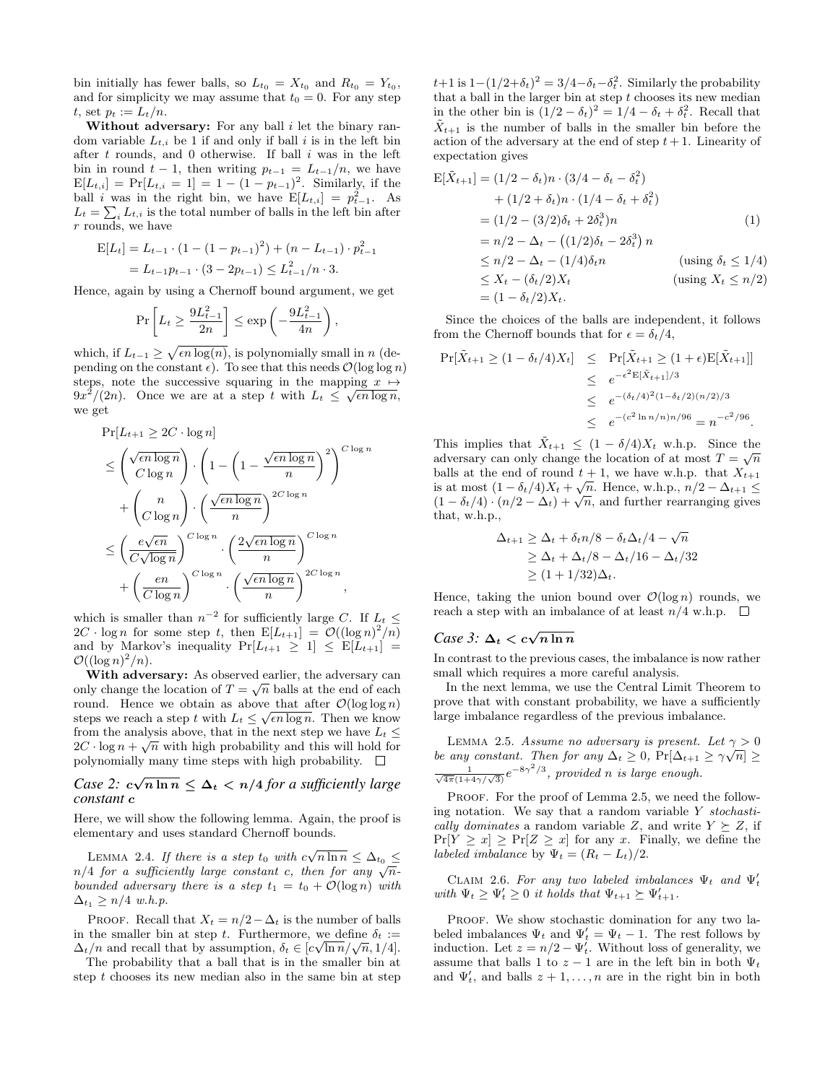bin initially has fewer balls, so  $L_{t_0} = X_{t_0}$  and  $R_{t_0} = Y_{t_0}$ , and for simplicity we may assume that  $t_0 = 0$ . For any step t, set  $p_t := L_t/n$ .

Without adversary: For any ball  $i$  let the binary random variable  $L_{t,i}$  be 1 if and only if ball i is in the left bin after  $t$  rounds, and  $0$  otherwise. If ball  $i$  was in the left bin in round  $t-1$ , then writing  $p_{t-1} = L_{t-1}/n$ , we have  $E[L_{t,i}] = Pr[L_{t,i} = 1] = 1 - (1 - p_{t-1})^2$ . Similarly, if the ball *i* was in the right bin, we have  $E[L_{t,i}] = p_{t-1}^2$ . As  $L_t = \sum_i L_{t,i}$  is the total number of balls in the left bin after r rounds, we have

$$
E[L_t] = L_{t-1} \cdot (1 - (1 - p_{t-1})^2) + (n - L_{t-1}) \cdot p_{t-1}^2
$$
  
= L\_{t-1}p\_{t-1} \cdot (3 - 2p\_{t-1}) \le L\_{t-1}^2/n \cdot 3.

Hence, again by using a Chernoff bound argument, we get

$$
\Pr\left[L_t \ge \frac{9L_{t-1}^2}{2n}\right] \le \exp\left(-\frac{9L_{t-1}^2}{4n}\right),\,
$$

which, if  $L_{t-1} \geq \sqrt{\epsilon n \log(n)}$ , is polynomially small in n (depending on the constant  $\epsilon$ ). To see that this needs  $\mathcal{O}(\log \log n)$ steps, note the successive squaring in the mapping  $x \mapsto$  $9x^2/(2n)$ . Once we are at a step t with  $L_t \leq \sqrt{\epsilon n \log n}$ , we get

$$
\Pr[L_{t+1} \ge 2C \cdot \log n]
$$
\n
$$
\le \left(\frac{\sqrt{\epsilon n \log n}}{C \log n}\right) \cdot \left(1 - \left(1 - \frac{\sqrt{\epsilon n \log n}}{n}\right)^2\right)^{C \log n}
$$
\n
$$
+ \left(\frac{n}{C \log n}\right) \cdot \left(\frac{\sqrt{\epsilon n \log n}}{n}\right)^{2C \log n}
$$
\n
$$
\le \left(\frac{e\sqrt{\epsilon n}}{C\sqrt{\log n}}\right)^{C \log n} \cdot \left(\frac{2\sqrt{\epsilon n \log n}}{n}\right)^{C \log n}
$$
\n
$$
+ \left(\frac{e n}{C \log n}\right)^{C \log n} \cdot \left(\frac{\sqrt{\epsilon n \log n}}{n}\right)^{2C \log n},
$$

which is smaller than  $n^{-2}$  for sufficiently large C. If  $L_t \leq$  $2C \cdot \log n$  for some step t, then  $E[L_{t+1}] = \mathcal{O}((\log n)^2/n)$ and by Markov's inequality  $Pr[L_{t+1} \geq 1] \leq E[L_{t+1}] =$  $\mathcal{O}((\log n)^2/n)$ .

With adversary: As observed earlier, the adversary can only change the location of  $T = \sqrt{n}$  balls at the end of each round. Hence we obtain as above that after  $\mathcal{O}(\log \log n)$ steps we reach a step t with  $L_t \leq \sqrt{\epsilon n \log n}$ . Then we know from the analysis above, that in the next step we have  $L_t \leq$  $2C \cdot \log n + \sqrt{n}$  with high probability and this will hold for polynomially many time steps with high probability.  $\square$ 

# *Case 2:*  $c\sqrt{n \ln n} \leq \Delta_t < n/4$  *for a sufficiently large constant* c

Here, we will show the following lemma. Again, the proof is elementary and uses standard Chernoff bounds.

LEMMA 2.4. If there is a step t<sub>0</sub> with  $c\sqrt{n \ln n} \leq \Delta_{t_0} \leq$ LEMMA 2.4. If there is a step to with  $c \sqrt{n} \ln n \leq \Delta t_0 \leq n/4$  for a sufficiently large constant c, then for any  $\sqrt{n}$ . bounded adversary there is a step  $t_1 = t_0 + \mathcal{O}(\log n)$  with  $\Delta_{t_1} \geq n/4$  w.h.p.

PROOF. Recall that  $X_t = n/2 - \Delta_t$  is the number of balls in the smaller bin at step t. Furthermore, we define  $\delta_t :=$ in the smaller bin at step t. Furthermore, we define  $o_t := \Delta_t/n$  and recall that by assumption,  $\delta_t \in [c\sqrt{\ln n}/\sqrt{n}, 1/4]$ .

The probability that a ball that is in the smaller bin at step  $t$  chooses its new median also in the same bin at step

 $t+1$  is  $1-(1/2+\delta_t)^2=3/4-\delta_t-\delta_t^2$ . Similarly the probability that a ball in the larger bin at step  $t$  chooses its new median in the other bin is  $(1/2 - \delta_t)^2 = 1/4 - \delta_t + \delta_t^2$ . Recall that  $\tilde{X}_{t+1}$  is the number of balls in the smaller bin before the action of the adversary at the end of step  $t + 1$ . Linearity of expectation gives

$$
E[\tilde{X}_{t+1}] = (1/2 - \delta_t)n \cdot (3/4 - \delta_t - \delta_t^2) + (1/2 + \delta_t)n \cdot (1/4 - \delta_t + \delta_t^2) = (1/2 - (3/2)\delta_t + 2\delta_t^3)n
$$
(1)  
=  $n/2 - \Delta_t - ((1/2)\delta_t - 2\delta_t^3)n$   
 $\le n/2 - \Delta_t - (1/4)\delta_t n$  (using  $\delta_t \le 1/4$ )   
 $\le X_t - (\delta_t/2)X_t$  (using  $X_t \le n/2$ )   
=  $(1 - \delta_t/2)X_t$ .

Since the choices of the balls are independent, it follows from the Chernoff bounds that for  $\epsilon = \delta_t/4$ ,

$$
\Pr[\tilde{X}_{t+1} \ge (1 - \delta_t/4)X_t] \le \Pr[\tilde{X}_{t+1} \ge (1 + \epsilon)\mathbb{E}[\tilde{X}_{t+1}]]
$$
  
\n
$$
\le e^{-\epsilon^2 \mathbb{E}[\tilde{X}_{t+1}]/3}
$$
  
\n
$$
\le e^{-(\delta_t/4)^2(1 - \delta_t/2)(n/2)/3}
$$
  
\n
$$
\le e^{-(c^2 \ln n/n)n/96} = n^{-c^2/96}.
$$

This implies that  $\tilde{X}_{t+1} \leq (1 - \delta/4)X_t$  w.h.p. Since the adversary can only change the location of at most  $T = \sqrt{n}$ balls at the end of round  $t + 1$ , we have w.h.p. that  $X_{t+1}$ is at most  $(1 - \delta_t/4)X_t + \sqrt{n}$ . Hence, w.h.p.,  $n/2 - \Delta_{t+1} \le$ is at most  $(1 - \partial_t/4) \lambda_t + \sqrt{n}$ , rence, w.n.p.,  $n/2 - \Delta_{t+1} \le$ <br> $(1 - \delta_t/4) \cdot (n/2 - \Delta_t) + \sqrt{n}$ , and further rearranging gives that, w.h.p.,

$$
\Delta_{t+1} \ge \Delta_t + \delta_t n/8 - \delta_t \Delta_t / 4 - \sqrt{n}
$$
  
\n
$$
\ge \Delta_t + \Delta_t / 8 - \Delta_t / 16 - \Delta_t / 32
$$
  
\n
$$
\ge (1 + 1/32)\Delta_t.
$$

Hence, taking the union bound over  $\mathcal{O}(\log n)$  rounds, we reach a step with an imbalance of at least  $n/4$  w.h.p.  $\Box$ 

# *Case 3:*  $\Delta_t < c\sqrt{n \ln n}$

In contrast to the previous cases, the imbalance is now rather small which requires a more careful analysis.

In the next lemma, we use the Central Limit Theorem to prove that with constant probability, we have a sufficiently large imbalance regardless of the previous imbalance.

LEMMA 2.5. Assume no adversary is present. Let  $\gamma > 0$ be any constant. Then for any  $\Delta_t \geq 0$ ,  $Pr[\Delta_{t+1} \geq \gamma \sqrt{n}] \geq$  $\frac{1}{\sqrt{4\pi}(1+4\gamma/\sqrt{3})}e^{-8\gamma^2/3}$ , provided n is large enough.

PROOF. For the proof of Lemma 2.5, we need the following notation. We say that a random variable  $Y$  stochastically dominates a random variable Z, and write  $Y \succeq Z$ , if  $Pr[Y \geq x] \geq Pr[Z \geq x]$  for any x. Finally, we define the labeled imbalance by  $\Psi_t = (R_t - L_t)/2$ .

CLAIM 2.6. For any two labeled imbalances  $\Psi_t$  and  $\Psi'_t$ with  $\Psi_t \geq \Psi'_t \geq 0$  it holds that  $\Psi_{t+1} \succeq \Psi'_{t+1}$ .

PROOF. We show stochastic domination for any two labeled imbalances  $\Psi_t$  and  $\Psi'_t = \Psi_t - 1$ . The rest follows by induction. Let  $z = n/2 - \Psi'_t$ . Without loss of generality, we assume that balls 1 to  $z - 1$  are in the left bin in both  $\Psi_t$ and  $\Psi'_t$ , and balls  $z + 1, \ldots, n$  are in the right bin in both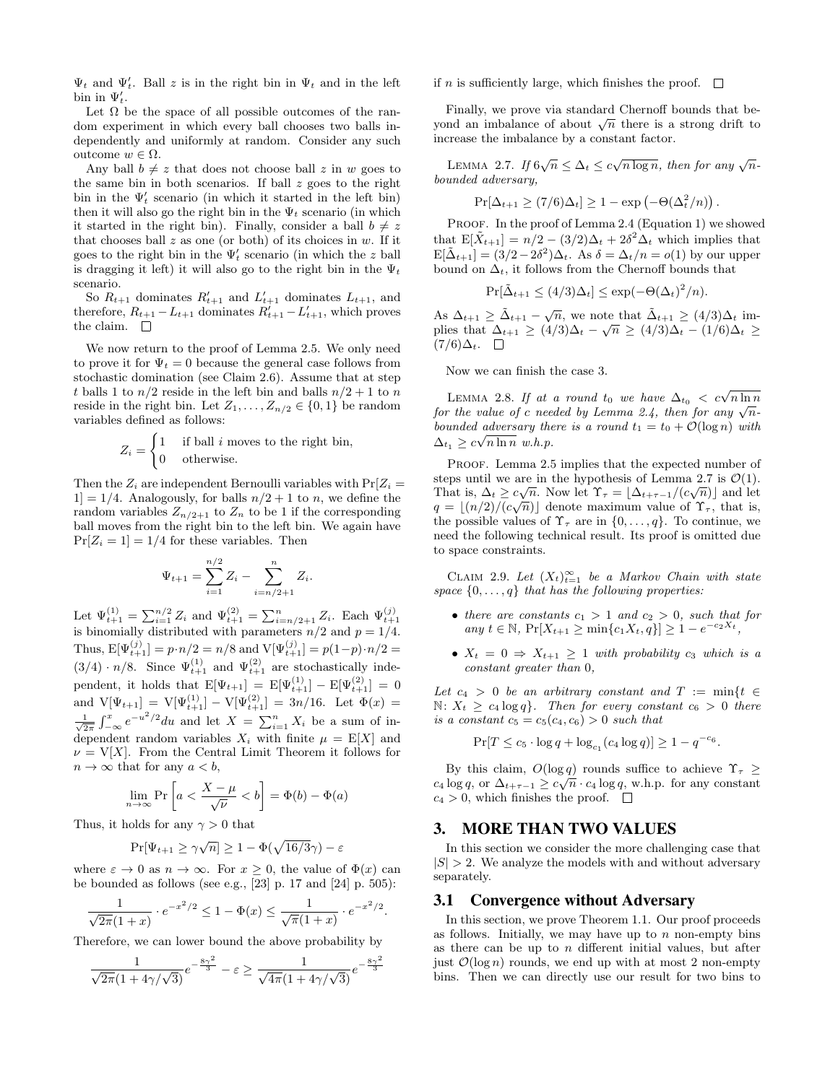$\Psi_t$  and  $\Psi'_t$ . Ball z is in the right bin in  $\Psi_t$  and in the left bin in  $\Psi'_t$ .

Let  $\Omega$  be the space of all possible outcomes of the random experiment in which every ball chooses two balls independently and uniformly at random. Consider any such outcome w ∈ Ω.

Any ball  $b \neq z$  that does not choose ball z in w goes to the same bin in both scenarios. If ball  $z$  goes to the right bin in the  $\Psi'_t$  scenario (in which it started in the left bin) then it will also go the right bin in the  $\Psi_t$  scenario (in which it started in the right bin). Finally, consider a ball  $b \neq z$ that chooses ball  $z$  as one (or both) of its choices in  $w$ . If it goes to the right bin in the  $\Psi'_t$  scenario (in which the z ball is dragging it left) it will also go to the right bin in the  $\Psi_t$ scenario.

So  $R_{t+1}$  dominates  $R'_{t+1}$  and  $L'_{t+1}$  dominates  $L_{t+1}$ , and therefore,  $R_{t+1} - L_{t+1}$  dominates  $R'_{t+1} - L'_{t+1}$ , which proves the claim.  $\Box$ 

We now return to the proof of Lemma 2.5. We only need to prove it for  $\Psi_t = 0$  because the general case follows from stochastic domination (see Claim 2.6). Assume that at step t balls 1 to  $n/2$  reside in the left bin and balls  $n/2 + 1$  to n reside in the right bin. Let  $Z_1, \ldots, Z_{n/2} \in \{0, 1\}$  be random variables defined as follows:

$$
Z_i = \begin{cases} 1 & \text{if ball } i \text{ moves to the right bin,} \\ 0 & \text{otherwise.} \end{cases}
$$

Then the  $Z_i$  are independent Bernoulli variables with  $Pr[Z_i =$  $1] = 1/4$ . Analogously, for balls  $n/2 + 1$  to n, we define the random variables  $Z_{n/2+1}$  to  $Z_n$  to be 1 if the corresponding ball moves from the right bin to the left bin. We again have  $Pr[Z_i = 1] = 1/4$  for these variables. Then

$$
\Psi_{t+1} = \sum_{i=1}^{n/2} Z_i - \sum_{i=n/2+1}^{n} Z_i.
$$

Let  $\Psi_{t+1}^{(1)} = \sum_{i=1}^{n/2} Z_i$  and  $\Psi_{t+1}^{(2)} = \sum_{i=n/2+1}^{n} Z_i$ . Each  $\Psi_{t+1}^{(j)}$  is binomially distributed with parameters  $n/2$  and  $p = 1/4$ . Thus,  $E[\Psi_{t+1}^{(j)}] = p \cdot n/2 = n/8$  and  $V[\Psi_{t+1}^{(j)}] = p(1-p) \cdot n/2 =$  $(3/4) \cdot n/8$ . Since  $\Psi_{t+1}^{(1)}$  and  $\Psi_{t+1}^{(2)}$  are stochastically independent, it holds that  $E[\Psi_{t+1}] = E[\Psi_{t+1}^{(1)}] - E[\Psi_{t+1}^{(2)}] = 0$ and  $V[\Psi_{t+1}] = V[\Psi_{t+1}^{(1)}] - V[\Psi_{t+1}^{(2)}] = 3n/16$ . Let  $\Phi(x) =$  $\frac{1}{\sqrt{2\pi}}\int_{-\infty}^x e^{-u^2/2}du$  and let  $X = \sum_{i=1}^n X_i$  be a sum of independent random variables  $X_i$  with finite  $\mu = \mathbb{E}[X]$  and  $\nu = V[X]$ . From the Central Limit Theorem it follows for  $n \to \infty$  that for any  $a < b$ ,

$$
\lim_{n \to \infty} \Pr\left[a < \frac{X - \mu}{\sqrt{\nu}} < b\right] = \Phi(b) - \Phi(a)
$$

Thus, it holds for any  $\gamma > 0$  that

$$
\Pr[\Psi_{t+1} \ge \gamma \sqrt{n}] \ge 1 - \Phi(\sqrt{16/3}\gamma) - \varepsilon
$$

where  $\varepsilon \to 0$  as  $n \to \infty$ . For  $x \geq 0$ , the value of  $\Phi(x)$  can be bounded as follows (see e.g.,  $\overline{[23]}$  p. 17 and  $\overline{[24]}$  p. 505):

$$
\frac{1}{\sqrt{2\pi}(1+x)} \cdot e^{-x^2/2} \le 1 - \Phi(x) \le \frac{1}{\sqrt{\pi}(1+x)} \cdot e^{-x^2/2}
$$

.

Therefore, we can lower bound the above probability by

$$
\frac{1}{\sqrt{2\pi}(1+4\gamma/\sqrt{3})}e^{-\frac{8\gamma^2}{3}} - \varepsilon \ge \frac{1}{\sqrt{4\pi}(1+4\gamma/\sqrt{3})}e^{-\frac{8\gamma^2}{3}}
$$

if *n* is sufficiently large, which finishes the proof.  $\Box$ 

Finally, we prove via standard Chernoff bounds that be-Finany, we prove via standard Chernon bounds that be-<br>yond an imbalance of about  $\sqrt{n}$  there is a strong drift to increase the imbalance by a constant factor.

LEMMA 2.7. If  $6\sqrt{n} \leq \Delta_t \leq c\sqrt{n \log n}$ , then for any  $\sqrt{n}$ bounded adversary,

$$
\Pr[\Delta_{t+1} \ge (7/6)\Delta_t] \ge 1 - \exp(-\Theta(\Delta_t^2/n)).
$$

PROOF. In the proof of Lemma 2.4 (Equation 1) we showed that  $E[\tilde{X}_{t+1}] = n/2 - (3/2)\Delta_t + 2\delta^2 \Delta_t$  which implies that  $E[\tilde{\Delta}_{t+1}] = (3/2 - 2\delta^2)\Delta_t$ . As  $\delta = \Delta_t/n = o(1)$  by our upper bound on  $\Delta_t$ , it follows from the Chernoff bounds that

$$
\Pr[\tilde{\Delta}_{t+1} \le (4/3)\Delta_t] \le \exp(-\Theta(\Delta_t)^2/n).
$$

As  $\Delta_{t+1} \geq \tilde{\Delta}_{t+1} - \sqrt{n}$ , we note that  $\tilde{\Delta}_{t+1} \geq (4/3)\Delta_t$  implies that  $\Delta_{t+1} \geq (4/3)\Delta_t - \sqrt{n} \geq (4/3)\Delta_t - (1/6)\Delta_t \geq$  $(7/6)\Delta_t$ .  $\Box$ 

Now we can finish the case 3.

LEMMA 2.8. If at a round  $t_0$  we have  $\Delta_{t_0} < c\sqrt{n \ln n}$ EEMMA 2.6. If at a round to we have  $\Delta t_0 < c \sqrt{n} \ln n$ <br>for the value of c needed by Lemma 2.4, then for any  $\sqrt{n}$ bounded adversary there is a round  $t_1 = t_0 + \mathcal{O}(\log n)$  with  $\Delta_{t_1} \geq c\sqrt{n \ln n} \ w.h.p.$ 

PROOF. Lemma 2.5 implies that the expected number of steps until we are in the hypothesis of Lemma 2.7 is  $\mathcal{O}(1)$ . That is,  $\Delta_t \geq c\sqrt{n}$ . Now let  $\Upsilon_{\tau} = \lfloor \Delta_{t+\tau-1}/(c\sqrt{n}) \rfloor$  and let  $q = \lfloor (n/2)/(c\sqrt{n}) \rfloor$  denote maximum value of  $\Upsilon_{\tau}$ , that is, the possible values of  $\Upsilon_{\tau}$  are in  $\{0, \ldots, q\}$ . To continue, we need the following technical result. Its proof is omitted due to space constraints.

CLAIM 2.9. Let  $(X_t)_{t=1}^{\infty}$  be a Markov Chain with state space  $\{0, \ldots, q\}$  that has the following properties:

- there are constants  $c_1 > 1$  and  $c_2 > 0$ , such that for any  $t \in \mathbb{N}$ ,  $Pr[X_{t+1} \geq min\{c_1X_t, q\}] \geq 1 - e^{-c_2X_t}$ ,
- $X_t = 0 \Rightarrow X_{t+1} \geq 1$  with probability  $c_3$  which is a constant greater than 0,

Let  $c_4 > 0$  be an arbitrary constant and  $T := min\{t \in$  $\mathbb{N}: X_t \geq c_4 \log q$ . Then for every constant  $c_6 > 0$  there is a constant  $c_5 = c_5(c_4, c_6) > 0$  such that

 $Pr[T \le c_5 \cdot \log q + \log_{c_1}(c_4 \log q)] \ge 1 - q^{-c_6}.$ 

By this claim,  $O(\log q)$  rounds suffice to achieve  $\Upsilon_{\tau} \geq$  $c_4 \log q$ , or  $\Delta_{t+\tau-1} \geq c \sqrt{n} \cdot c_4 \log q$ , w.h.p. for any constant  $c_4 > 0$ , which finishes the proof.  $\Box$ 

### 3. MORE THAN TWO VALUES

In this section we consider the more challenging case that  $|S| > 2$ . We analyze the models with and without adversary separately.

# 3.1 Convergence without Adversary

In this section, we prove Theorem 1.1. Our proof proceeds as follows. Initially, we may have up to  $n$  non-empty bins as there can be up to  $n$  different initial values, but after just  $\mathcal{O}(\log n)$  rounds, we end up with at most 2 non-empty bins. Then we can directly use our result for two bins to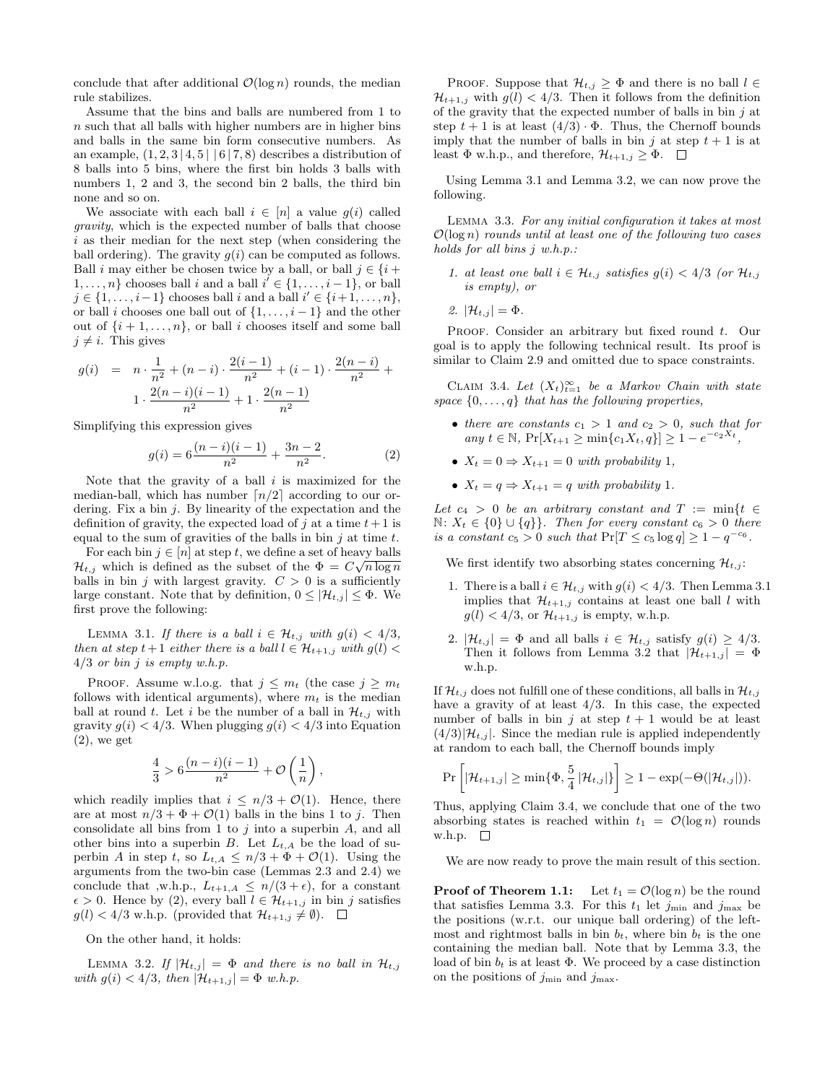conclude that after additional  $\mathcal{O}(\log n)$  rounds, the median rule stabilizes.

Assume that the bins and balls are numbered from 1 to  $n$  such that all balls with higher numbers are in higher bins and balls in the same bin form consecutive numbers. As an example,  $(1, 2, 3 \mid 4, 5 \mid 6 \mid 7, 8)$  describes a distribution of 8 balls into 5 bins, where the first bin holds 3 balls with numbers 1, 2 and 3, the second bin 2 balls, the third bin none and so on.

We associate with each ball  $i \in [n]$  a value  $g(i)$  called gravity, which is the expected number of balls that choose  $i$  as their median for the next step (when considering the ball ordering). The gravity  $g(i)$  can be computed as follows. Ball i may either be chosen twice by a ball, or ball  $j \in \{i +$  $1, \ldots, n$  chooses ball i and a ball  $i' \in \{1, \ldots, i-1\}$ , or ball  $j \in \{1, \ldots, i-1\}$  chooses ball i and a ball  $i' \in \{i+1, \ldots, n\},$ or ball i chooses one ball out of  $\{1, \ldots, i-1\}$  and the other out of  $\{i+1,\ldots,n\}$ , or ball i chooses itself and some ball  $j \neq i$ . This gives

$$
g(i) = n \cdot \frac{1}{n^2} + (n - i) \cdot \frac{2(i - 1)}{n^2} + (i - 1) \cdot \frac{2(n - i)}{n^2} + \frac{2(n - i)(i - 1)}{n^2} + 1 \cdot \frac{2(n - 1)}{n^2}
$$

Simplifying this expression gives

$$
g(i) = 6\frac{(n-i)(i-1)}{n^2} + \frac{3n-2}{n^2}.
$$
 (2)

Note that the gravity of a ball  $i$  is maximized for the median-ball, which has number  $\lceil n/2 \rceil$  according to our ordering. Fix a bin  $j$ . By linearity of the expectation and the definition of gravity, the expected load of j at a time  $t+1$  is equal to the sum of gravities of the balls in bin  $j$  at time  $t$ .

For each bin  $j \in [n]$  at step t, we define a set of heavy balls  $\mathcal{H}_{t,j}$  which is defined as the subset of the  $\Phi = C\sqrt{n \log n}$ balls in bin j with largest gravity.  $C > 0$  is a sufficiently large constant. Note that by definition,  $0 \leq |\mathcal{H}_{t,j}| \leq \Phi$ . We first prove the following:

LEMMA 3.1. If there is a ball  $i \in \mathcal{H}_{t,j}$  with  $g(i) < 4/3$ , then at step  $t+1$  either there is a ball  $l \in \mathcal{H}_{t+1,j}$  with  $g(l)$  <  $4/3$  or bin j is empty w.h.p.

PROOF. Assume w.l.o.g. that  $j \leq m_t$  (the case  $j \geq m_t$ ) follows with identical arguments), where  $m_t$  is the median ball at round t. Let i be the number of a ball in  $\mathcal{H}_{t,j}$  with gravity  $g(i) < 4/3$ . When plugging  $g(i) < 4/3$  into Equation  $(2)$ , we get

$$
\frac{4}{3}>6\frac{(n-i)(i-1)}{n^2}+\mathcal O\left(\frac{1}{n}\right),
$$

which readily implies that  $i \leq n/3 + \mathcal{O}(1)$ . Hence, there are at most  $n/3 + \Phi + \mathcal{O}(1)$  balls in the bins 1 to j. Then consolidate all bins from 1 to  $j$  into a superbin  $A$ , and all other bins into a superbin  $B$ . Let  $L_{t,A}$  be the load of superbin A in step t, so  $L_{t,A} \leq n/3 + \Phi + \mathcal{O}(1)$ . Using the arguments from the two-bin case (Lemmas 2.3 and 2.4) we conclude that ,w.h.p.,  $L_{t+1,A} \leq n/(3 + \epsilon)$ , for a constant  $\epsilon > 0$ . Hence by (2), every ball  $l \in \mathcal{H}_{t+1,j}$  in bin j satisfies  $g(l) < 4/3$  w.h.p. (provided that  $\mathcal{H}_{t+1,j} \neq \emptyset$ ).  $\Box$ 

On the other hand, it holds:

LEMMA 3.2. If  $|\mathcal{H}_{t,j}| = \Phi$  and there is no ball in  $\mathcal{H}_{t,j}$ with  $g(i) < 4/3$ , then  $|\mathcal{H}_{t+1,j}| = \Phi$  w.h.p.

PROOF. Suppose that  $\mathcal{H}_{t,j} \geq \Phi$  and there is no ball  $l \in$  $\mathcal{H}_{t+1,j}$  with  $g(l) < 4/3$ . Then it follows from the definition of the gravity that the expected number of balls in bin  $j$  at step  $t + 1$  is at least  $(4/3) \cdot \Phi$ . Thus, the Chernoff bounds imply that the number of balls in bin j at step  $t + 1$  is at least  $\Phi$  w.h.p., and therefore,  $\mathcal{H}_{t+1,j} \geq \Phi$ .  $\Box$ 

Using Lemma 3.1 and Lemma 3.2, we can now prove the following.

Lemma 3.3. For any initial configuration it takes at most  $\mathcal{O}(\log n)$  rounds until at least one of the following two cases holds for all bins  $j$  w.h.p.:

- 1. at least one ball  $i \in \mathcal{H}_{t,j}$  satisfies  $g(i) < 4/3$  (or  $\mathcal{H}_{t,j}$ is empty), or
- 2.  $|\mathcal{H}_{t,j}| = \Phi$ .

PROOF. Consider an arbitrary but fixed round t. Our goal is to apply the following technical result. Its proof is similar to Claim 2.9 and omitted due to space constraints.

CLAIM 3.4. Let  $(X_t)_{t=1}^{\infty}$  be a Markov Chain with state space  $\{0, \ldots, q\}$  that has the following properties,

- there are constants  $c_1 > 1$  and  $c_2 > 0$ , such that for any  $t \in \mathbb{N}$ ,  $Pr[X_{t+1} \geq min\{c_1X_t, q\}] \geq 1 - e^{-c_2X_t}$ ,
- $X_t = 0 \Rightarrow X_{t+1} = 0$  with probability 1,
- $X_t = q \Rightarrow X_{t+1} = q$  with probability 1.

Let  $c_4 > 0$  be an arbitrary constant and  $T := \min\{t \in$  $\mathbb{N}: X_t \in \{0\} \cup \{q\}$ . Then for every constant  $c_6 > 0$  there is a constant  $c_5 > 0$  such that  $Pr[T \le c_5 \log q] \ge 1 - q^{-c_6}$ .

We first identify two absorbing states concerning  $\mathcal{H}_{t,j}$ :

- 1. There is a ball  $i \in \mathcal{H}_{t,j}$  with  $g(i) < 4/3$ . Then Lemma 3.1 implies that  $\mathcal{H}_{t+1,j}$  contains at least one ball l with  $g(l) < 4/3$ , or  $\mathcal{H}_{t+1,j}$  is empty, w.h.p.
- 2.  $|\mathcal{H}_{t,j}| = \Phi$  and all balls  $i \in \mathcal{H}_{t,j}$  satisfy  $g(i) \geq 4/3$ . Then it follows from Lemma 3.2 that  $|\mathcal{H}_{t+1,j}| = \Phi$ w.h.p.

If  $\mathcal{H}_{t,j}$  does not fulfill one of these conditions, all balls in  $\mathcal{H}_{t,j}$ have a gravity of at least  $4/3$ . In this case, the expected number of balls in bin j at step  $t + 1$  would be at least  $(4/3)|\mathcal{H}_{t,j}|$ . Since the median rule is applied independently at random to each ball, the Chernoff bounds imply

$$
\Pr\left[|\mathcal{H}_{t+1,j}| \geq \min\{\Phi, \frac{5}{4} \,|\mathcal{H}_{t,j}|\}\right] \geq 1 - \exp(-\Theta(|\mathcal{H}_{t,j}|)).
$$

Thus, applying Claim 3.4, we conclude that one of the two absorbing states is reached within  $t_1 = \mathcal{O}(\log n)$  rounds w.h.p.  $\square$ 

We are now ready to prove the main result of this section.

**Proof of Theorem 1.1:** Let  $t_1 = \mathcal{O}(\log n)$  be the round that satisfies Lemma 3.3. For this  $t_1$  let  $j_{\min}$  and  $j_{\max}$  be the positions (w.r.t. our unique ball ordering) of the leftmost and rightmost balls in bin  $b_t$ , where bin  $b_t$  is the one containing the median ball. Note that by Lemma 3.3, the load of bin  $b_t$  is at least  $\Phi$ . We proceed by a case distinction on the positions of  $j_{\min}$  and  $j_{\max}$ .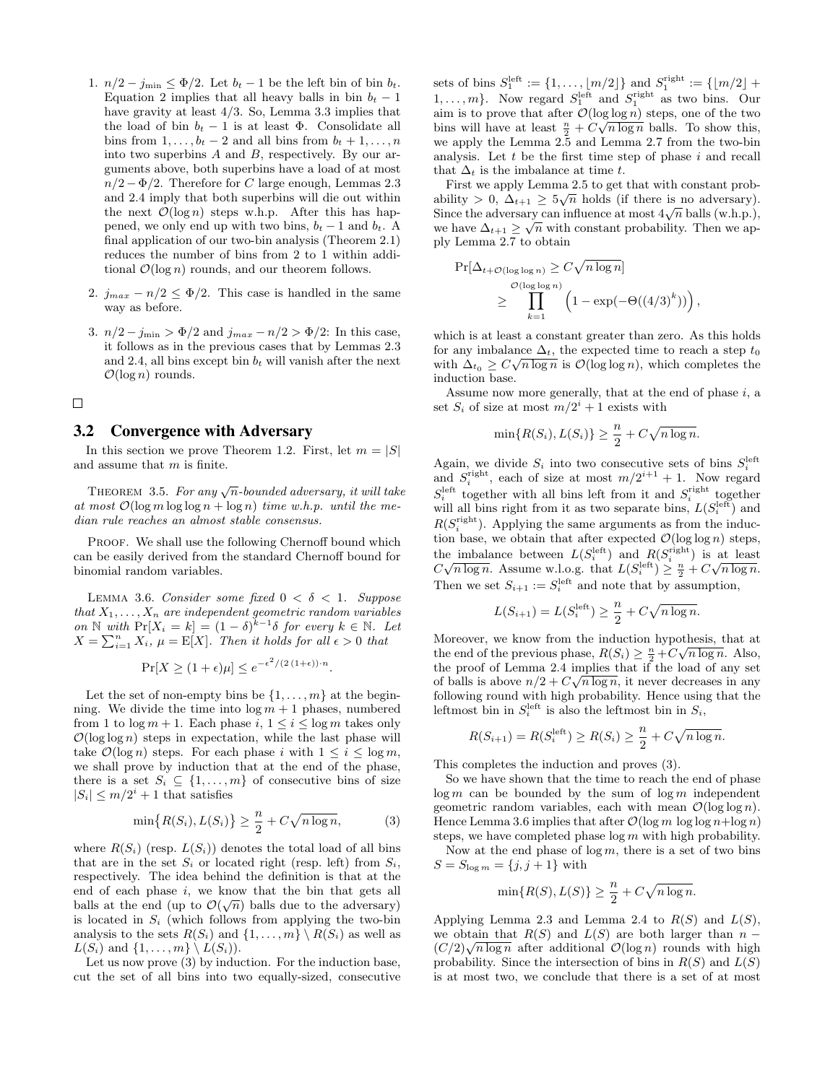- 1.  $n/2 j_{\text{min}} \leq \Phi/2$ . Let  $b_t 1$  be the left bin of bin  $b_t$ . Equation 2 implies that all heavy balls in bin  $b_t - 1$ have gravity at least 4/3. So, Lemma 3.3 implies that the load of bin  $b_t - 1$  is at least  $\Phi$ . Consolidate all bins from  $1, \ldots, b_t - 2$  and all bins from  $b_t + 1, \ldots, n$ into two superbins A and B, respectively. By our arguments above, both superbins have a load of at most  $n/2 - \Phi/2$ . Therefore for C large enough, Lemmas 2.3 and 2.4 imply that both superbins will die out within the next  $\mathcal{O}(\log n)$  steps w.h.p. After this has happened, we only end up with two bins,  $b_t - 1$  and  $b_t$ . A final application of our two-bin analysis (Theorem 2.1) reduces the number of bins from 2 to 1 within additional  $\mathcal{O}(\log n)$  rounds, and our theorem follows.
- 2.  $j_{max} n/2 \leq \Phi/2$ . This case is handled in the same way as before.
- 3.  $n/2 j_{\text{min}} > \Phi/2$  and  $j_{max} n/2 > \Phi/2$ : In this case, it follows as in the previous cases that by Lemmas 2.3 and 2.4, all bins except bin  $b_t$  will vanish after the next  $\mathcal{O}(\log n)$  rounds.

#### $\Box$

# 3.2 Convergence with Adversary

In this section we prove Theorem 1.2. First, let  $m = |S|$ and assume that m is finite.

THEOREM 3.5. For any  $\sqrt{n}$ -bounded adversary, it will take at most  $\mathcal{O}(\log m \log \log n + \log n)$  time w.h.p. until the median rule reaches an almost stable consensus.

PROOF. We shall use the following Chernoff bound which can be easily derived from the standard Chernoff bound for binomial random variables.

LEMMA 3.6. Consider some fixed  $0 < \delta < 1$ . Suppose that  $X_1, \ldots, X_n$  are independent geometric random variables on  $\mathbb N$  with  $Pr[X_i = k] = (1 - \delta)^{k-1} \delta$  for every  $k \in \mathbb N$ . Let  $X = \sum_{i=1}^{n} X_i$ ,  $\mu = \mathbb{E}[X]$ . Then it holds for all  $\epsilon > 0$  that

$$
\Pr[X \ge (1 + \epsilon)\mu] \le e^{-\epsilon^2/(2(1+\epsilon)) \cdot n}
$$

.

Let the set of non-empty bins be  $\{1, \ldots, m\}$  at the beginning. We divide the time into  $\log m + 1$  phases, numbered from 1 to  $\log m + 1$ . Each phase i,  $1 \leq i \leq \log m$  takes only  $\mathcal{O}(\log \log n)$  steps in expectation, while the last phase will take  $\mathcal{O}(\log n)$  steps. For each phase i with  $1 \leq i \leq \log m$ , we shall prove by induction that at the end of the phase, there is a set  $S_i \subseteq \{1, \ldots, m\}$  of consecutive bins of size  $|S_i| \leq m/2^i + 1$  that satisfies

$$
\min\{R(S_i), L(S_i)\} \ge \frac{n}{2} + C\sqrt{n\log n},\tag{3}
$$

where  $R(S_i)$  (resp.  $L(S_i)$ ) denotes the total load of all bins that are in the set  $S_i$  or located right (resp. left) from  $S_i$ , respectively. The idea behind the definition is that at the end of each phase i, we know that the bin that gets all balls at the end (up to  $\mathcal{O}(\sqrt{n})$  balls due to the adversary) is located in  $S_i$  (which follows from applying the two-bin analysis to the sets  $R(S_i)$  and  $\{1, \ldots, m\} \setminus R(S_i)$  as well as  $L(S_i)$  and  $\{1, \ldots, m\} \setminus L(S_i)$ .

Let us now prove (3) by induction. For the induction base, cut the set of all bins into two equally-sized, consecutive

sets of bins  $S_1^{\text{left}} := \{1, ..., \lfloor m/2 \rfloor\}$  and  $S_1^{\text{right}} := \{\lfloor m/2 \rfloor +$  $1, \ldots, m$ . Now regard  $S_1^{\text{left}}$  and  $S_1^{\text{right}}$  as two bins. Our aim is to prove that after  $\mathcal{O}(\log \log n)$  steps, one of the two bins will have at least  $\frac{n}{2} + C\sqrt{n \log n}$  balls. To show this, we apply the Lemma 2.5 and Lemma 2.7 from the two-bin analysis. Let  $t$  be the first time step of phase  $i$  and recall that  $\Delta_t$  is the imbalance at time t.

First we apply Lemma 2.5 to get that with constant probability > 0,  $\Delta_{t+1} \geq 5\sqrt{n}$  holds (if there is no adversary). since the adversary can influence at most  $4\sqrt{n}$  balls (w.h.p.),<br>Since the adversary can influence at most  $4\sqrt{n}$  balls (w.h.p.), we have  $\Delta_{t+1} \geq \sqrt{n}$  with constant probability. Then we apply Lemma 2.7 to obtain

$$
\Pr[\Delta_{t+\mathcal{O}(\log\log n)} \ge C\sqrt{n\log n}]
$$
  
 
$$
\ge \prod_{k=1}^{\mathcal{O}(\log\log n)} \left(1 - \exp(-\Theta((4/3)^k))\right),
$$

which is at least a constant greater than zero. As this holds for any imbalance  $\Delta_t$ , the expected time to reach a step  $t_0$ with  $\Delta_{t_0} \geq C \sqrt{n \log n}$  is  $\mathcal{O}(\log \log n)$ , which completes the induction base.

Assume now more generally, that at the end of phase  $i$ , a set  $S_i$  of size at most  $m/2^i + 1$  exists with

$$
\min\{R(S_i), L(S_i)\} \ge \frac{n}{2} + C\sqrt{n\log n}.
$$

Again, we divide  $S_i$  into two consecutive sets of bins  $S_i^{\text{left}}$ and  $S_i^{\text{right}}$ , each of size at most  $m/2^{i+1} + 1$ . Now regard  $S_i^{\text{left}}$  together with all bins left from it and  $S_i^{\text{right}}$  together will all bins right from it as two separate bins,  $L(S_i^{\text{left}})$  and  $R(S_i^{\text{right}})$ . Applying the same arguments as from the induction base, we obtain that after expected  $\mathcal{O}(\log \log n)$  steps, the imbalance between  $L(S_i^{\text{left}})$  and  $R(S_i^{\text{right}})$  is at least the importance between  $L(S_i)$  and  $R(S_i^{\text{eff}}) \geq \frac{n}{2} + C\sqrt{n \log n}$ .<br> $C\sqrt{n \log n}$ . Assume w.l.o.g. that  $L(S_i^{\text{left}}) \geq \frac{n}{2} + C\sqrt{n \log n}$ . Then we set  $S_{i+1} := S_i^{\text{left}}$  and note that by assumption,

$$
L(S_{i+1}) = L(S_i^{\text{left}}) \ge \frac{n}{2} + C\sqrt{n \log n}.
$$

Moreover, we know from the induction hypothesis, that at the end of the previous phase,  $R(S_i) \geq \frac{n}{2} + C\sqrt{n \log n}$ . Also, the proof of Lemma 2.4 implies that if the load of any set of balls is above  $n/2 + C\sqrt{n \log n}$ , it never decreases in any following round with high probability. Hence using that the leftmost bin in  $S_i^{\text{left}}$  is also the leftmost bin in  $S_i$ ,

$$
R(S_{i+1}) = R(S_i^{\text{left}}) \ge R(S_i) \ge \frac{n}{2} + C\sqrt{n \log n}.
$$

This completes the induction and proves (3).

So we have shown that the time to reach the end of phase  $\log m$  can be bounded by the sum of  $\log m$  independent geometric random variables, each with mean  $\mathcal{O}(\log \log n)$ . Hence Lemma 3.6 implies that after  $\mathcal{O}(\log m \log \log n + \log n)$ steps, we have completed phase  $\log m$  with high probability.

Now at the end phase of  $\log m$ , there is a set of two bins  $S = S_{\log m} = \{j, j + 1\}$  with

$$
\min\{R(S), L(S)\} \ge \frac{n}{2} + C\sqrt{n\log n}.
$$

Applying Lemma 2.3 and Lemma 2.4 to  $R(S)$  and  $L(S)$ , we obtain that  $R(S)$  and  $L(S)$  are both larger than  $n$ we obtain that  $n(S)$  and  $L(S)$  are both larger than  $n - (C/2)\sqrt{n \log n}$  after additional  $\mathcal{O}(\log n)$  rounds with high probability. Since the intersection of bins in  $R(S)$  and  $L(S)$ is at most two, we conclude that there is a set of at most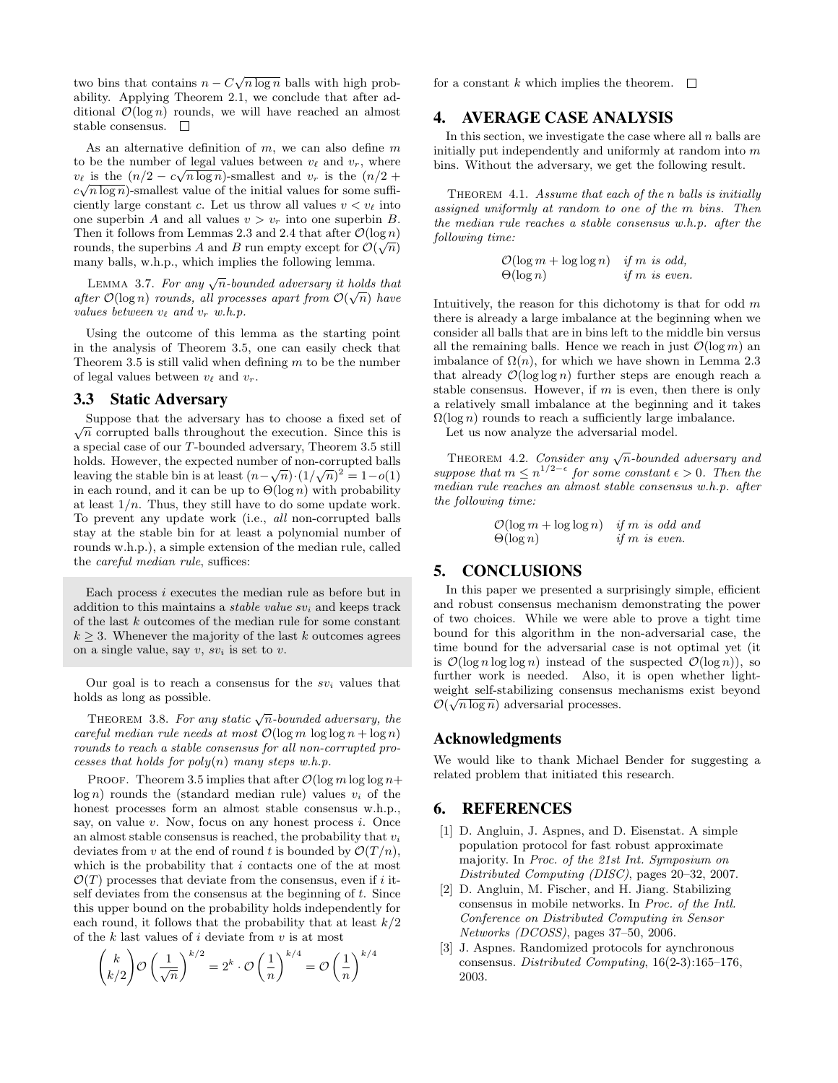two bins that contains  $n - C\sqrt{n \log n}$  balls with high probability. Applying Theorem 2.1, we conclude that after additional  $\mathcal{O}(\log n)$  rounds, we will have reached an almost stable consensus.  $\square$ 

As an alternative definition of  $m$ , we can also define  $m$ to be the number of legal values between  $v_{\ell}$  and  $v_r$ , where  $v_{\ell}$  is the  $(n/2 - c\sqrt{n \log n})$ -smallest and  $v_r$  is the  $(n/2 + c\sqrt{n \log n})$  $c\sqrt{n\log n}$ -smallest value of the initial values for some sufficiently large constant c. Let us throw all values  $v < v_\ell$  into one superbin A and all values  $v > v_r$  into one superbin B. Then it follows from Lemmas 2.3 and 2.4 that after  $\mathcal{O}(\log n)$ rounds, the superbins A and B run empty except for  $\mathcal{O}(\sqrt{n})$ many balls, w.h.p., which implies the following lemma.

LEMMA 3.7. For any  $\sqrt{n}$ -bounded adversary it holds that after  $\mathcal{O}(\log n)$  rounds, all processes apart from  $\mathcal{O}(\sqrt{n})$  have values between  $v_{\ell}$  and  $v_r$  w.h.p.

Using the outcome of this lemma as the starting point in the analysis of Theorem 3.5, one can easily check that Theorem 3.5 is still valid when defining  $m$  to be the number of legal values between  $v_{\ell}$  and  $v_r$ .

### 3.3 Static Adversary

Suppose that the adversary has to choose a fixed set of Suppose that the adversary has to choose a fixed set of  $\sqrt{n}$  corrupted balls throughout the execution. Since this is a special case of our T-bounded adversary, Theorem 3.5 still holds. However, the expected number of non-corrupted balls leaving the stable bin is at least  $(n-\sqrt{n})\cdot(1/\sqrt{n})^2=1-o(1)$ in each round, and it can be up to  $\Theta(\log n)$  with probability at least  $1/n$ . Thus, they still have to do some update work. To prevent any update work (i.e., all non-corrupted balls stay at the stable bin for at least a polynomial number of rounds w.h.p.), a simple extension of the median rule, called the careful median rule, suffices:

Each process  $i$  executes the median rule as before but in addition to this maintains a *stable value sv<sub>i</sub>* and keeps track of the last k outcomes of the median rule for some constant  $k \geq 3$ . Whenever the majority of the last k outcomes agrees on a single value, say  $v, sv_i$  is set to  $v$ .

Our goal is to reach a consensus for the  $sv_i$  values that holds as long as possible.

THEOREM 3.8. For any static  $\sqrt{n}$ -bounded adversary, the careful median rule needs at most  $\mathcal{O}(\log m \log \log n + \log n)$ rounds to reach a stable consensus for all non-corrupted processes that holds for  $poly(n)$  many steps w.h.p.

PROOF. Theorem 3.5 implies that after  $\mathcal{O}(\log m \log \log n +$  $log n$ ) rounds the (standard median rule) values  $v_i$  of the honest processes form an almost stable consensus w.h.p., say, on value  $v$ . Now, focus on any honest process  $i$ . Once an almost stable consensus is reached, the probability that  $v_i$ deviates from v at the end of round t is bounded by  $\mathcal{O}(T/n)$ , which is the probability that  $i$  contacts one of the at most  $\mathcal{O}(T)$  processes that deviate from the consensus, even if i itself deviates from the consensus at the beginning of  $t$ . Since this upper bound on the probability holds independently for each round, it follows that the probability that at least  $k/2$ of the  $k$  last values of  $i$  deviate from  $v$  is at most

$$
\binom{k}{k/2}\mathcal{O}\left(\frac{1}{\sqrt{n}}\right)^{k/2} = 2^k \cdot \mathcal{O}\left(\frac{1}{n}\right)^{k/4} = \mathcal{O}\left(\frac{1}{n}\right)^{k/4}
$$

for a constant k which implies the theorem.  $\Box$ 

### 4. AVERAGE CASE ANALYSIS

In this section, we investigate the case where all  $n$  balls are initially put independently and uniformly at random into  $m$ bins. Without the adversary, we get the following result.

THEOREM 4.1. Assume that each of the n balls is initially assigned uniformly at random to one of the m bins. Then the median rule reaches a stable consensus w.h.p. after the following time:

$$
O(\log m + \log \log n) \quad \text{if } m \text{ is odd,}
$$
  

$$
\Theta(\log n) \quad \text{if } m \text{ is even.}
$$

Intuitively, the reason for this dichotomy is that for odd  $m$ there is already a large imbalance at the beginning when we consider all balls that are in bins left to the middle bin versus all the remaining balls. Hence we reach in just  $\mathcal{O}(\log m)$  and imbalance of  $\Omega(n)$ , for which we have shown in Lemma 2.3 that already  $\mathcal{O}(\log \log n)$  further steps are enough reach a stable consensus. However, if  $m$  is even, then there is only a relatively small imbalance at the beginning and it takes  $\Omega(\log n)$  rounds to reach a sufficiently large imbalance.

Let us now analyze the adversarial model.

THEOREM 4.2. Consider any  $\sqrt{n}$ -bounded adversary and suppose that  $m \leq n^{1/2-\epsilon}$  for some constant  $\epsilon > 0$ . Then the median rule reaches an almost stable consensus w.h.p. after the following time:

$$
O(\log m + \log \log n) \quad \text{if } m \text{ is odd and} \\ \Theta(\log n) \quad \text{if } m \text{ is even.}
$$

# 5. CONCLUSIONS

In this paper we presented a surprisingly simple, efficient and robust consensus mechanism demonstrating the power of two choices. While we were able to prove a tight time bound for this algorithm in the non-adversarial case, the time bound for the adversarial case is not optimal yet (it is  $\mathcal{O}(\log n \log \log n)$  instead of the suspected  $\mathcal{O}(\log n)$ , so further work is needed. Also, it is open whether lightweight self-stabilizing consensus mechanisms exist beyond  $\mathcal{O}(\sqrt{n \log n})$  adversarial processes.

### Acknowledgments

We would like to thank Michael Bender for suggesting a related problem that initiated this research.

# 6. REFERENCES

- [1] D. Angluin, J. Aspnes, and D. Eisenstat. A simple population protocol for fast robust approximate majority. In Proc. of the 21st Int. Symposium on Distributed Computing (DISC), pages 20–32, 2007.
- [2] D. Angluin, M. Fischer, and H. Jiang. Stabilizing consensus in mobile networks. In Proc. of the Intl. Conference on Distributed Computing in Sensor Networks (DCOSS), pages 37–50, 2006.
- [3] J. Aspnes. Randomized protocols for aynchronous consensus. Distributed Computing, 16(2-3):165–176, 2003.